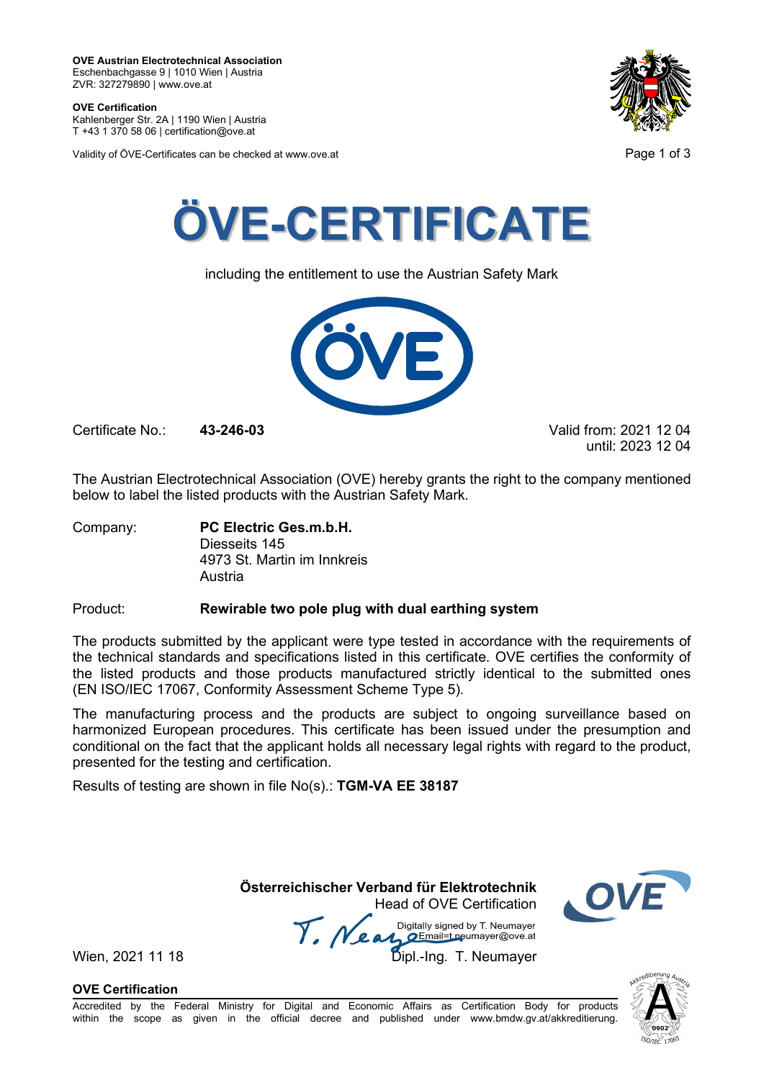**OVE Certification** Kahlenberger Str. 2A | 1190 Wien | Austria

T +43 1 370 58 06 | certification@ove.at

Validity of ÖVE-Certificates can be checked at www.ove.at **Page 1 of 3** Page 1 of 3





including the entitlement to use the Austrian Safety Mark



Certificate No.: **43-246-03** Valid from: 2021 12 04

until: 2023 12 04

The Austrian Electrotechnical Association (OVE) hereby grants the right to the company mentioned below to label the listed products with the Austrian Safety Mark.

Company: **PC Electric Ges.m.b.H.** Diesseits 145 4973 St. Martin im Innkreis Austria

## Product: **Rewirable two pole plug with dual earthing system**

The products submitted by the applicant were type tested in accordance with the requirements of the technical standards and specifications listed in this certificate. OVE certifies the conformity of the listed products and those products manufactured strictly identical to the submitted ones (EN ISO/IEC 17067, Conformity Assessment Scheme Type 5).

The manufacturing process and the products are subject to ongoing surveillance based on harmonized European procedures. This certificate has been issued under the presumption and conditional on the fact that the applicant holds all necessary legal rights with regard to the product, presented for the testing and certification.

Results of testing are shown in file No(s).: **TGM-VA EE 38187**

 **Österreichischer Verband für Elektrotechnik** Head of OVE Certification

Wien, 2021 11 18 **Mean** Digitally signed by Livedings.<br>Wien, 2021 11 18 Dipl.-Ing. T. Neumayer Digitally signed by T. Neumayer

**OVE Certification**



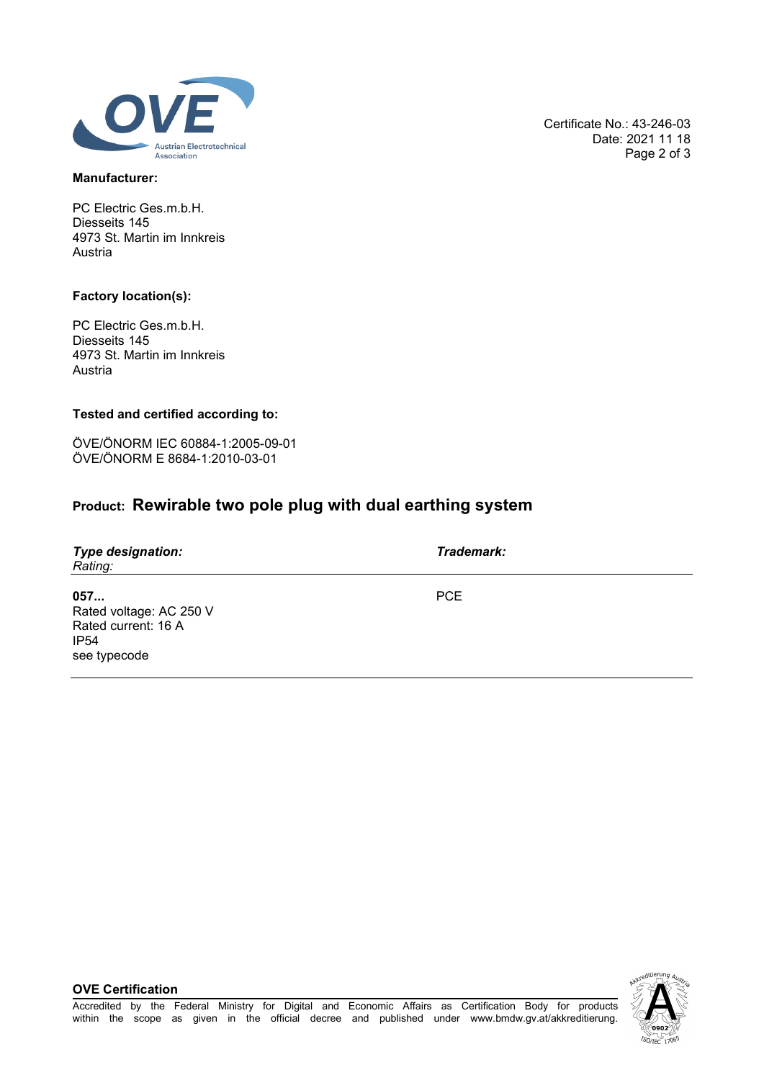

### **Manufacturer:**

PC Electric Ges.m.b.H. Diesseits 145 4973 St. Martin im Innkreis Austria

### **Factory location(s):**

PC Electric Ges.m.b.H. Diesseits 145 4973 St. Martin im Innkreis Austria

### **Tested and certified according to:**

ÖVE/ÖNORM IEC 60884-1:2005-09-01 ÖVE/ÖNORM E 8684-1:2010-03-01

# **Product: Rewirable two pole plug with dual earthing system**

| <b>Type designation:</b><br>Rating:                                                       | Trademark: |
|-------------------------------------------------------------------------------------------|------------|
| 057<br>Rated voltage: AC 250 V<br>Rated current: 16 A<br>IP <sub>54</sub><br>see typecode | <b>PCE</b> |

Accredited by the Federal Ministry for Digital and Economic Affairs as Certification Body for products within the scope as given in the official decree and published under www.bmdw.gv.at/akkreditierung.

**OVE Certification**



Certificate No.: 43-246-03 Date: 2021 11 18 Page 2 of 3